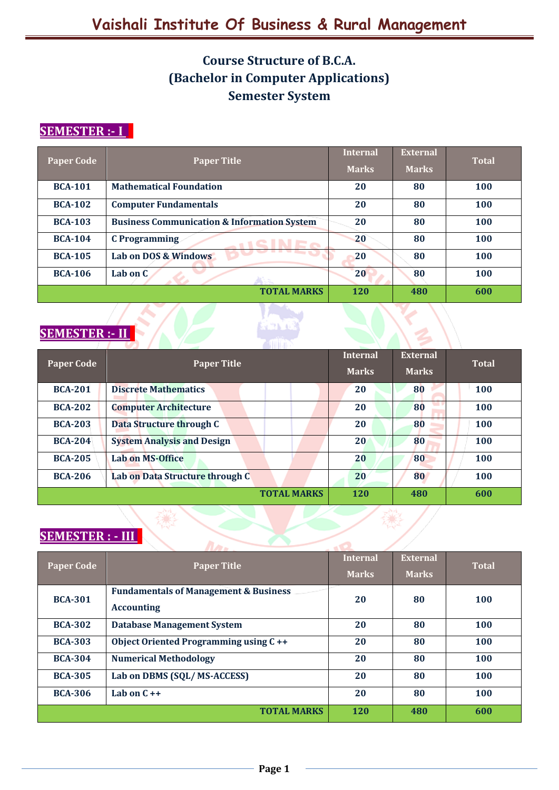# **Course Structure of B.C.A. (Bachelor in Computer Applications) Semester System**

# **SEMESTER :- I I**

| <b>Paper Code</b> | <b>Paper Title</b>                                     | <b>Internal</b> | <b>External</b> | <b>Total</b> |
|-------------------|--------------------------------------------------------|-----------------|-----------------|--------------|
|                   |                                                        | <b>Marks</b>    | <b>Marks</b>    |              |
| <b>BCA-101</b>    | <b>Mathematical Foundation</b>                         | 20              | 80              | <b>100</b>   |
| <b>BCA-102</b>    | <b>Computer Fundamentals</b>                           | 20              | 80              | <b>100</b>   |
| <b>BCA-103</b>    | <b>Business Communication &amp; Information System</b> | 20              | 80              | 100          |
| <b>BCA-104</b>    | <b>C</b> Programming                                   | 20              | 80              | 100          |
| <b>BCA-105</b>    | Lab on DOS & Windows                                   | 20              | 80              | 100          |
| <b>BCA-106</b>    | Lab on C                                               | 20              | 80              | <b>100</b>   |
|                   | <b>TOTAL MARKS</b>                                     | <b>120</b>      | 480             | 600          |

# **SEMESTER :- II I**

| <b>Paper Code</b> | <b>Paper Title</b>                | <b>Internal</b><br><b>Marks</b> | <b>External</b><br><b>Marks</b> | <b>Total</b> |
|-------------------|-----------------------------------|---------------------------------|---------------------------------|--------------|
|                   |                                   |                                 |                                 |              |
| <b>BCA-201</b>    | <b>Discrete Mathematics</b>       | 20                              | 80                              | <b>100</b>   |
| <b>BCA-202</b>    | <b>Computer Architecture</b>      | 20                              | 80                              | 100          |
| <b>BCA-203</b>    | Data Structure through C          | 20                              | 80                              | 100          |
| <b>BCA-204</b>    | <b>System Analysis and Design</b> | 20                              | 80                              | 100          |
| <b>BCA-205</b>    | <b>Lab on MS-Office</b>           | 20                              | 80                              | 100          |
| <b>BCA-206</b>    | Lab on Data Structure through C   | 20                              | 80                              | 100          |
|                   | <b>TOTAL MARKS</b>                | <b>120</b>                      | 480                             | 600          |

## **SEMESTER : - III I**

| $1 - 0$ $1 - 1$ $1 - 1$ |                                                  |                 |                 |              |
|-------------------------|--------------------------------------------------|-----------------|-----------------|--------------|
| <b>Paper Code</b>       | <b>Paper Title</b>                               | <b>Internal</b> | <b>External</b> |              |
|                         |                                                  | <b>Marks</b>    | <b>Marks</b>    | <b>Total</b> |
| <b>BCA-301</b>          | <b>Fundamentals of Management &amp; Business</b> | 20              | 80              | <b>100</b>   |
|                         | <b>Accounting</b>                                |                 |                 |              |
| <b>BCA-302</b>          | <b>Database Management System</b>                | 20              | 80              | 100          |
| <b>BCA-303</b>          | Object Oriented Programming using C++            | 20              | 80              | 100          |
| <b>BCA-304</b>          | <b>Numerical Methodology</b>                     | 20              | 80              | 100          |
| <b>BCA-305</b>          | Lab on DBMS (SQL/MS-ACCESS)                      | 20              | 80              | 100          |
| <b>BCA-306</b>          | Lab on $C++$                                     | 20              | 80              | 100          |
|                         | <b>TOTAL MARKS</b>                               | <b>120</b>      | 480             | 600          |